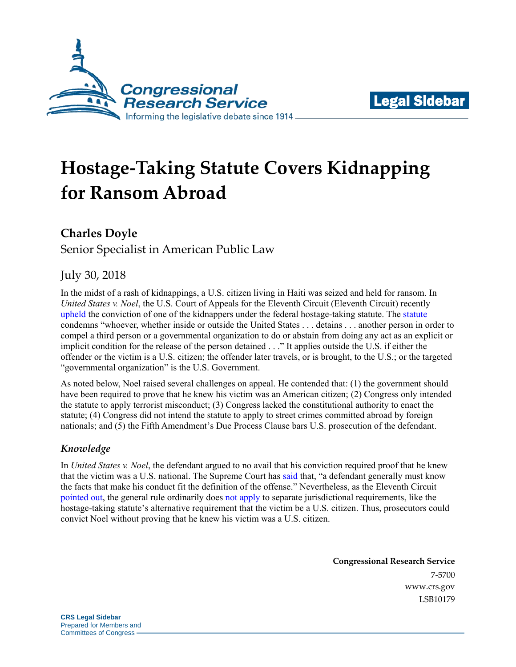



# **Hostage-Taking Statute Covers Kidnapping for Ransom Abroad**

## **Charles Doyle**

Senior Specialist in American Public Law

## July 30, 2018

In the midst of a rash of kidnappings, a U.S. citizen living in Haiti was seized and held for ransom. In *United States v. Noel*, the U.S. Court of Appeals for the Eleventh Circuit (Eleventh Circuit) recently [upheld](file:///C:/Users/dcarpenter/AppData/Local/Microsoft/Windows/INetCache/Content.Outlook/OGP1TF9S/media.ca11.uscourts.gov/opinions/pub/files/201710529.pdf) the conviction of one of the kidnappers under the federal hostage-taking statute. The [statute](http://uscode.house.gov/view.xhtml?req=(title:18%20section:1203%20edition:prelim)%20OR%20(granuleid:USC-prelim-title18-section1203)&f=treesort&edition=prelim&num=0&jumpTo=true) condemns "whoever, whether inside or outside the United States . . . detains . . . another person in order to compel a third person or a governmental organization to do or abstain from doing any act as an explicit or implicit condition for the release of the person detained . . ." It applies outside the U.S. if either the offender or the victim is a U.S. citizen; the offender later travels, or is brought, to the U.S.; or the targeted "governmental organization" is the U.S. Government.

As noted below, Noel raised several challenges on appeal. He contended that: (1) the government should have been required to prove that he knew his victim was an American citizen; (2) Congress only intended the statute to apply terrorist misconduct; (3) Congress lacked the constitutional authority to enact the statute; (4) Congress did not intend the statute to apply to street crimes committed abroad by foreign nationals; and (5) the Fifth Amendment's Due Process Clause bars U.S. prosecution of the defendant.

## *Knowledge*

In *United States v. Noel*, the defendant argued to no avail that his conviction required proof that he knew that the victim was a U.S. national. The Supreme Court has [said](https://www.supremecourt.gov/search.aspx?Search=elonis&type=Site) that, "a defendant generally must know the facts that make his conduct fit the definition of the offense." Nevertheless, as the Eleventh Circuit [pointed out,](https://law.justia.com/cases/federal/appellate-courts/ca11/17-10529/17-10529-2018-06-26.html) the general rule ordinarily does [not apply](https://supreme.justia.com/cases/federal/us/420/671/case.html) to separate jurisdictional requirements, like the hostage-taking statute's alternative requirement that the victim be a U.S. citizen. Thus, prosecutors could convict Noel without proving that he knew his victim was a U.S. citizen.

> **Congressional Research Service** 7-5700 [www.crs.gov](http://www.crs.gov/) LSB10179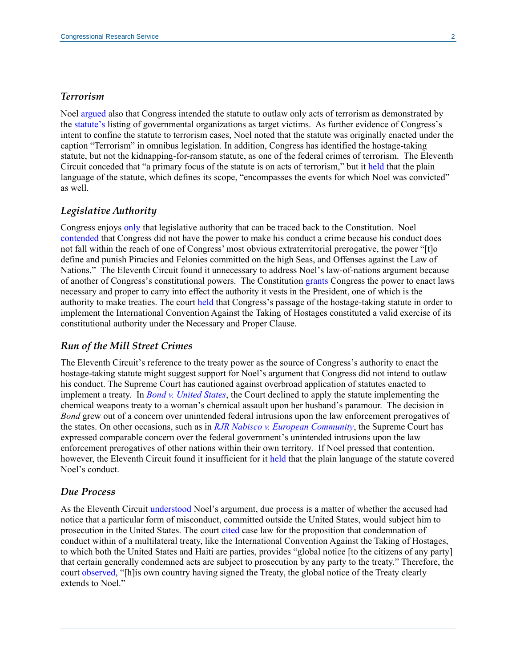#### *Terrorism*

Noel [argued](https://law.justia.com/cases/federal/appellate-courts/ca11/17-10529/17-10529-2018-06-26.html) also that Congress intended the statute to outlaw only acts of terrorism as demonstrated by the [statute's](http://uscode.house.gov/view.xhtml?req=(title:18%20section:1203%20edition:prelim)%20OR%20(granuleid:USC-prelim-title18-section1203)&f=treesort&edition=prelim&num=0&jumpTo=true) listing of governmental organizations as target victims. As further evidence of Congress's intent to confine the statute to terrorism cases, Noel noted that the statute was originally enacted under the caption "Terrorism" in omnibus legislation. In addition, Congress has identified the hostage-taking statute, but not the kidnapping-for-ransom statute, as one of the federal crimes of terrorism. The Eleventh Circuit conceded that "a primary focus of the statute is on acts of terrorism," but it [held](https://law.justia.com/cases/federal/appellate-courts/ca11/17-10529/17-10529-2018-06-26.html) that the plain language of the statute, which defines its scope, "encompasses the events for which Noel was convicted" as well.

#### *Legislative Authority*

Congress enjoys [only](https://www.supremecourt.gov/opinions/13pdf/12-158_6579.pdf) that legislative authority that can be traced back to the Constitution. Noel [contended](https://law.justia.com/cases/federal/appellate-courts/ca11/17-10529/17-10529-2018-06-26.html) that Congress did not have the power to make his conduct a crime because his conduct does not fall within the reach of one of Congress' most obvious extraterritorial prerogative, the power "[t]o define and punish Piracies and Felonies committed on the high Seas, and Offenses against the Law of Nations." The Eleventh Circuit found it unnecessary to address Noel's law-of-nations argument because of another of Congress's constitutional powers. The Constitution [grants](http://www.crs.gov/conan/details/?mode=topic&doc=Article01.xml&t=1|1&s=8&c=13) Congress the power to enact laws necessary and proper to carry into effect the authority it vests in the President, one of which is the authority to make treaties. The court [held](https://law.justia.com/cases/federal/appellate-courts/ca11/17-10529/17-10529-2018-06-26.html) that Congress's passage of the hostage-taking statute in order to implement the International Convention Against the Taking of Hostages constituted a valid exercise of its constitutional authority under the Necessary and Proper Clause.

#### *Run of the Mill Street Crimes*

The Eleventh Circuit's reference to the treaty power as the source of Congress's authority to enact the hostage-taking statute might suggest support for Noel's argument that Congress did not intend to outlaw his conduct. The Supreme Court has cautioned against overbroad application of statutes enacted to implement a treaty. In *[Bond v. United States](https://www.supremecourt.gov/opinions/13pdf/12-158_6579.pdf)*, the Court declined to apply the statute implementing the chemical weapons treaty to a woman's chemical assault upon her husband's paramour. The decision in *Bond* grew out of a concern over unintended federal intrusions upon the law enforcement prerogatives of the states. On other occasions, such as in *[RJR Nabisco v. European Community](https://www.supremecourt.gov/opinions/15pdf/15-138_5866.pdf)*, the Supreme Court has expressed comparable concern over the federal government's unintended intrusions upon the law enforcement prerogatives of other nations within their own territory. If Noel pressed that contention, however, the Eleventh Circuit found it insufficient for it [held](https://law.justia.com/cases/federal/appellate-courts/ca11/17-10529/17-10529-2018-06-26.html) that the plain language of the statute covered Noel's conduct.

#### *Due Process*

As the Eleventh Circuit [understood](https://law.justia.com/cases/federal/appellate-courts/ca11/17-10529/17-10529-2018-06-26.html) Noel's argument, due process is a matter of whether the accused had notice that a particular form of misconduct, committed outside the United States, would subject him to prosecution in the United States. The court [cited](https://law.justia.com/cases/federal/appellate-courts/ca11/17-10529/17-10529-2018-06-26.html) case law for the proposition that condemnation of conduct within of a multilateral treaty, like the International Convention Against the Taking of Hostages, to which both the United States and Haiti are parties, provides "global notice [to the citizens of any party] that certain generally condemned acts are subject to prosecution by any party to the treaty." Therefore, the court [observed,](https://law.justia.com/cases/federal/appellate-courts/ca11/17-10529/17-10529-2018-06-26.html) "[h]is own country having signed the Treaty, the global notice of the Treaty clearly extends to Noel.'